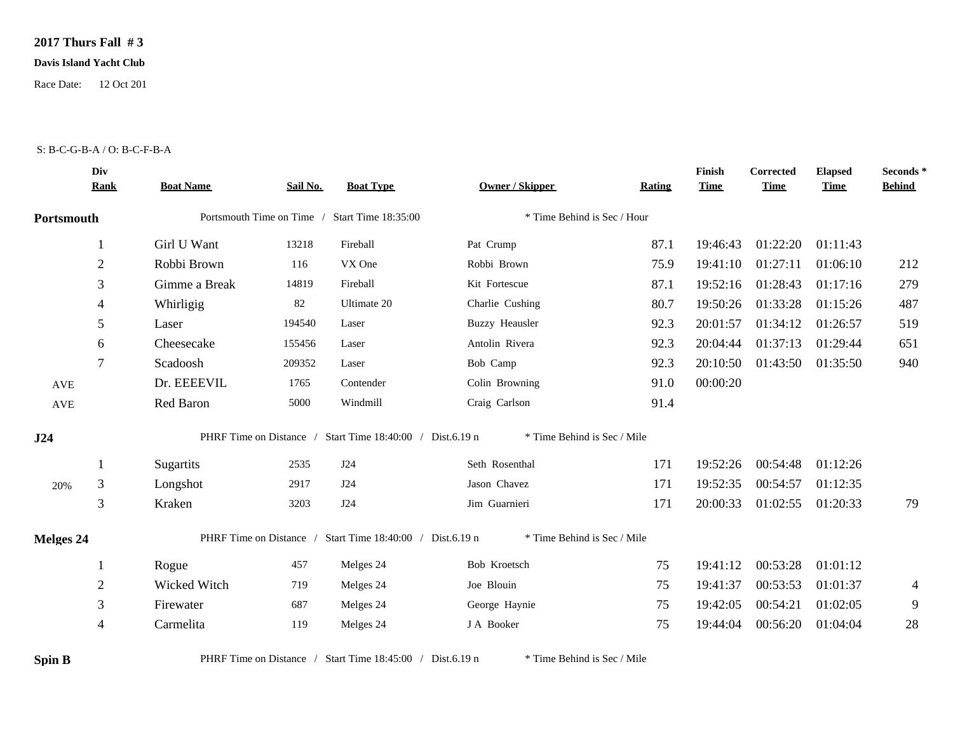## **2017 Thurs Fall # 3**

## **Davis Island Yacht Club**

Race Date: 12 Oct 201

## S: B-C-G-B-A / O: B-C-F-B-A

|                      | Div<br><b>Rank</b> | <b>Boat Name</b> | Sail No. | <b>Boat Type</b>                                          | Owner / Skipper             | <b>Rating</b> | Finish<br><b>Time</b> | Corrected<br><b>Time</b> | <b>Elapsed</b><br><b>Time</b> | Seconds *<br><b>Behind</b> |
|----------------------|--------------------|------------------|----------|-----------------------------------------------------------|-----------------------------|---------------|-----------------------|--------------------------|-------------------------------|----------------------------|
| Portsmouth           |                    |                  |          | Portsmouth Time on Time / Start Time 18:35:00             | * Time Behind is Sec / Hour |               |                       |                          |                               |                            |
|                      | 1                  | Girl U Want      | 13218    | Fireball                                                  | Pat Crump                   | 87.1          | 19:46:43              | 01:22:20                 | 01:11:43                      |                            |
|                      | $\overline{2}$     | Robbi Brown      | 116      | VX One                                                    | Robbi Brown                 | 75.9          | 19:41:10              | 01:27:11                 | 01:06:10                      | 212                        |
|                      | 3                  | Gimme a Break    | 14819    | Fireball                                                  | Kit Fortescue               | 87.1          | 19:52:16              | 01:28:43                 | 01:17:16                      | 279                        |
|                      | 4                  | Whirligig        | 82       | Ultimate 20                                               | Charlie Cushing             | 80.7          | 19:50:26              | 01:33:28                 | 01:15:26                      | 487                        |
|                      | 5                  | Laser            | 194540   | Laser                                                     | <b>Buzzy Heausler</b>       | 92.3          | 20:01:57              | 01:34:12                 | 01:26:57                      | 519                        |
|                      | 6                  | Cheesecake       | 155456   | Laser                                                     | Antolin Rivera              | 92.3          | 20:04:44              | 01:37:13                 | 01:29:44                      | 651                        |
|                      | $\overline{7}$     | Scadoosh         | 209352   | Laser                                                     | Bob Camp                    | 92.3          | 20:10:50              | 01:43:50                 | 01:35:50                      | 940                        |
| AVE                  |                    | Dr. EEEEVIL      | 1765     | Contender                                                 | Colin Browning              | 91.0          | 00:00:20              |                          |                               |                            |
| $\operatorname{AVE}$ |                    | Red Baron        | 5000     | Windmill                                                  | Craig Carlson               | 91.4          |                       |                          |                               |                            |
| J24                  |                    |                  |          | PHRF Time on Distance / Start Time 18:40:00 / Dist.6.19 n | * Time Behind is Sec / Mile |               |                       |                          |                               |                            |
|                      | -1                 | Sugartits        | 2535     | J24                                                       | Seth Rosenthal              | 171           | 19:52:26              | 00:54:48                 | 01:12:26                      |                            |
| 20%                  | 3                  | Longshot         | 2917     | J24                                                       | Jason Chavez                | 171           | 19:52:35              | 00:54:57                 | 01:12:35                      |                            |
|                      | 3                  | Kraken           | 3203     | J24                                                       | Jim Guarnieri               | 171           | 20:00:33              | 01:02:55                 | 01:20:33                      | 79                         |
| <b>Melges 24</b>     |                    |                  |          | PHRF Time on Distance / Start Time 18:40:00 / Dist.6.19 n | * Time Behind is Sec / Mile |               |                       |                          |                               |                            |
|                      |                    | Rogue            | 457      | Melges 24                                                 | Bob Kroetsch                | 75            | 19:41:12              | 00:53:28                 | 01:01:12                      |                            |
|                      | $\mathfrak{2}$     | Wicked Witch     | 719      | Melges 24                                                 | Joe Blouin                  | 75            | 19:41:37              | 00:53:53                 | 01:01:37                      | $\overline{4}$             |
|                      | 3                  | Firewater        | 687      | Melges 24                                                 | George Haynie               | 75            | 19:42:05              | 00:54:21                 | 01:02:05                      | 9                          |
|                      | $\overline{4}$     | Carmelita        | 119      | Melges 24                                                 | J A Booker                  | 75            | 19:44:04              | 00:56:20                 | 01:04:04                      | 28                         |

**Spin B** PHRF Time on Distance / Start Time 18:45:00 / Dist.6.19 n \* Time Behind is Sec / Mile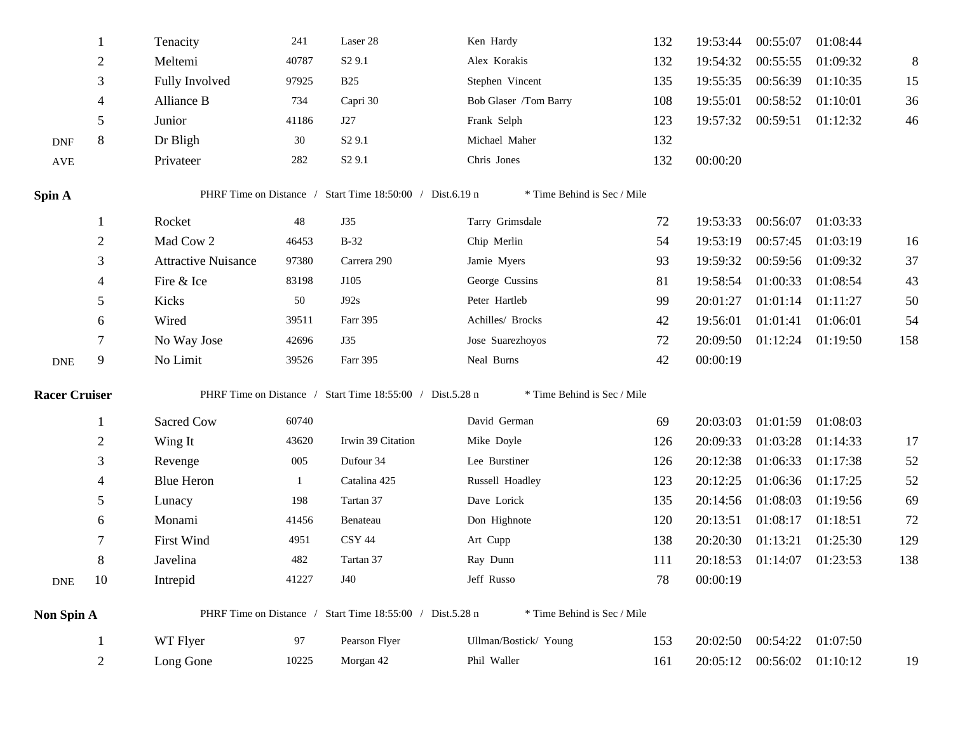|                             |                | Tenacity                   | 241   | Laser 28                                                  | Ken Hardy                   | 132 | 19:53:44 | 00:55:07          | 01:08:44          |         |
|-----------------------------|----------------|----------------------------|-------|-----------------------------------------------------------|-----------------------------|-----|----------|-------------------|-------------------|---------|
|                             | $\overline{c}$ | Meltemi                    | 40787 | S <sub>2</sub> 9.1                                        | Alex Korakis                | 132 | 19:54:32 | 00:55:55          | 01:09:32          | $\,8\,$ |
|                             | 3              | Fully Involved             | 97925 | <b>B25</b>                                                | Stephen Vincent             | 135 | 19:55:35 | 00:56:39          | 01:10:35          | 15      |
|                             | 4              | Alliance B                 | 734   | Capri 30                                                  | Bob Glaser /Tom Barry       | 108 | 19:55:01 | 00:58:52          | 01:10:01          | 36      |
|                             | 5              | Junior                     | 41186 | J27                                                       | Frank Selph                 | 123 | 19:57:32 | 00:59:51          | 01:12:32          | 46      |
| <b>DNF</b>                  | 8              | Dr Bligh                   | 30    | S <sub>2</sub> 9.1                                        | Michael Maher               | 132 |          |                   |                   |         |
| $\operatorname{AVE}$        |                | Privateer                  | 282   | S <sub>2</sub> 9.1                                        | Chris Jones                 | 132 | 00:00:20 |                   |                   |         |
| Spin A                      |                | PHRF Time on Distance /    |       | Start Time 18:50:00 / Dist.6.19 n                         | * Time Behind is Sec / Mile |     |          |                   |                   |         |
|                             | 1              | Rocket                     | 48    | J35                                                       | Tarry Grimsdale             | 72  | 19:53:33 | 00:56:07          | 01:03:33          |         |
|                             | 2              | Mad Cow 2                  | 46453 | $B-32$                                                    | Chip Merlin                 | 54  | 19:53:19 | 00:57:45          | 01:03:19          | 16      |
|                             | 3              | <b>Attractive Nuisance</b> | 97380 | Carrera 290                                               | Jamie Myers                 | 93  | 19:59:32 | 00:59:56          | 01:09:32          | 37      |
|                             | 4              | Fire & Ice                 | 83198 | J105                                                      | George Cussins              | 81  | 19:58:54 | 01:00:33          | 01:08:54          | 43      |
|                             | 5              | Kicks                      | 50    | J92s                                                      | Peter Hartleb               | 99  | 20:01:27 | 01:01:14 01:11:27 |                   | 50      |
|                             | 6              | Wired                      | 39511 | Farr 395                                                  | Achilles/ Brocks            | 42  | 19:56:01 | 01:01:41          | 01:06:01          | 54      |
|                             | 7              | No Way Jose                | 42696 | J35                                                       | Jose Suarezhoyos            | 72  | 20:09:50 |                   | 01:12:24 01:19:50 | 158     |
| $\ensuremath{\mathsf{DNE}}$ | 9              | No Limit                   | 39526 | Farr 395                                                  | Neal Burns                  | 42  | 00:00:19 |                   |                   |         |
| <b>Racer Cruiser</b>        |                |                            |       | PHRF Time on Distance / Start Time 18:55:00 / Dist.5.28 n | * Time Behind is Sec / Mile |     |          |                   |                   |         |
|                             | $\mathbf{1}$   | Sacred Cow                 | 60740 |                                                           | David German                | 69  | 20:03:03 | 01:01:59          | 01:08:03          |         |
|                             | $\overline{c}$ | Wing It                    | 43620 | Irwin 39 Citation                                         | Mike Doyle                  | 126 | 20:09:33 | 01:03:28          | 01:14:33          | 17      |
|                             | 3              | Revenge                    | 005   | Dufour 34                                                 | Lee Burstiner               | 126 | 20:12:38 | 01:06:33          | 01:17:38          | 52      |
|                             | 4              | <b>Blue Heron</b>          | 1     | Catalina 425                                              | Russell Hoadley             | 123 | 20:12:25 | 01:06:36          | 01:17:25          | 52      |
|                             | 5              | Lunacy                     | 198   | Tartan 37                                                 | Dave Lorick                 | 135 | 20:14:56 | 01:08:03          | 01:19:56          | 69      |
|                             | 6              | Monami                     | 41456 | Benateau                                                  | Don Highnote                | 120 | 20:13:51 | 01:08:17          | 01:18:51          | 72      |
|                             | 7              | First Wind                 | 4951  | <b>CSY 44</b>                                             | Art Cupp                    | 138 | 20:20:30 | 01:13:21          | 01:25:30          | 129     |
|                             | 8              | Javelina                   | 482   | Tartan 37                                                 | Ray Dunn                    | 111 | 20:18:53 | 01:14:07          | 01:23:53          | 138     |
| <b>DNE</b>                  | 10             | Intrepid                   | 41227 | J40                                                       | Jeff Russo                  | 78  | 00:00:19 |                   |                   |         |
| Non Spin A                  |                | PHRF Time on Distance /    |       | Start Time 18:55:00 / Dist.5.28 n                         | * Time Behind is Sec / Mile |     |          |                   |                   |         |
|                             |                | WT Flyer                   | 97    | Pearson Flyer                                             | Ullman/Bostick/ Young       | 153 | 20:02:50 | 00:54:22 01:07:50 |                   |         |
|                             | $\overline{c}$ | Long Gone                  | 10225 | Morgan 42                                                 | Phil Waller                 | 161 | 20:05:12 | 00:56:02 01:10:12 |                   | 19      |
|                             |                |                            |       |                                                           |                             |     |          |                   |                   |         |